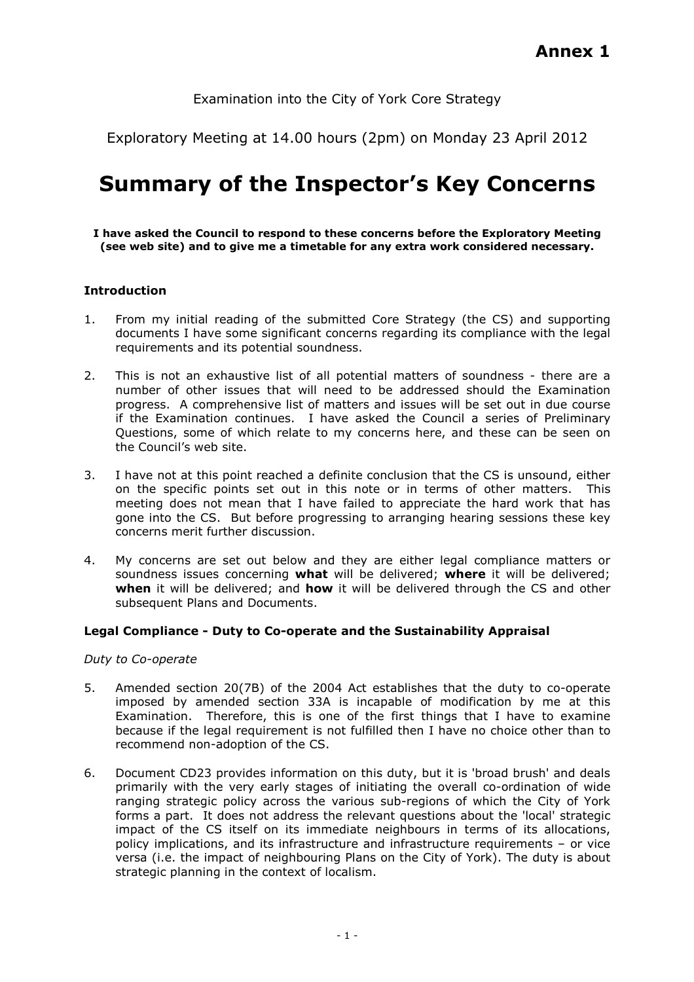# Examination into the City of York Core Strategy

Exploratory Meeting at 14.00 hours (2pm) on Monday 23 April 2012

# Summary of the Inspector's Key Concerns

I have asked the Council to respond to these concerns before the Exploratory Meeting (see web site) and to give me a timetable for any extra work considered necessary.

# Introduction

- 1. From my initial reading of the submitted Core Strategy (the CS) and supporting documents I have some significant concerns regarding its compliance with the legal requirements and its potential soundness.
- 2. This is not an exhaustive list of all potential matters of soundness there are a number of other issues that will need to be addressed should the Examination progress. A comprehensive list of matters and issues will be set out in due course if the Examination continues. I have asked the Council a series of Preliminary Questions, some of which relate to my concerns here, and these can be seen on the Council's web site.
- 3. I have not at this point reached a definite conclusion that the CS is unsound, either on the specific points set out in this note or in terms of other matters. This meeting does not mean that I have failed to appreciate the hard work that has gone into the CS. But before progressing to arranging hearing sessions these key concerns merit further discussion.
- 4. My concerns are set out below and they are either legal compliance matters or soundness issues concerning what will be delivered; where it will be delivered; when it will be delivered; and how it will be delivered through the CS and other subsequent Plans and Documents.

# Legal Compliance - Duty to Co-operate and the Sustainability Appraisal

Duty to Co-operate

- 5. Amended section 20(7B) of the 2004 Act establishes that the duty to co-operate imposed by amended section 33A is incapable of modification by me at this Examination. Therefore, this is one of the first things that I have to examine because if the legal requirement is not fulfilled then I have no choice other than to recommend non-adoption of the CS.
- 6. Document CD23 provides information on this duty, but it is 'broad brush' and deals primarily with the very early stages of initiating the overall co-ordination of wide ranging strategic policy across the various sub-regions of which the City of York forms a part. It does not address the relevant questions about the 'local' strategic impact of the CS itself on its immediate neighbours in terms of its allocations, policy implications, and its infrastructure and infrastructure requirements – or vice versa (i.e. the impact of neighbouring Plans on the City of York). The duty is about strategic planning in the context of localism.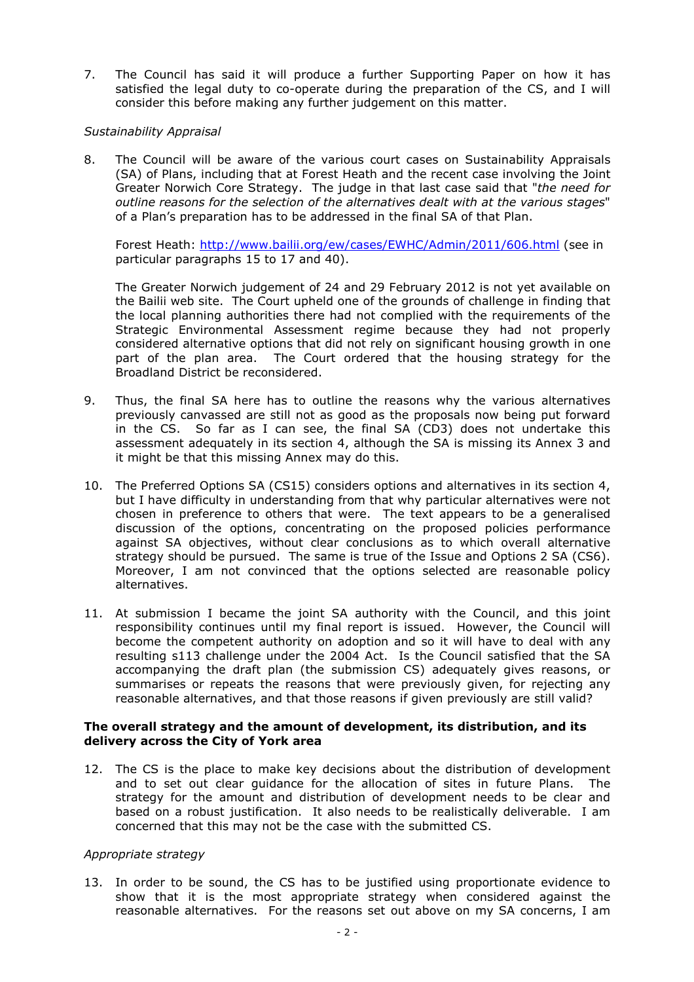7. The Council has said it will produce a further Supporting Paper on how it has satisfied the legal duty to co-operate during the preparation of the CS, and I will consider this before making any further judgement on this matter.

#### Sustainability Appraisal

8. The Council will be aware of the various court cases on Sustainability Appraisals (SA) of Plans, including that at Forest Heath and the recent case involving the Joint Greater Norwich Core Strategy. The judge in that last case said that "the need for outline reasons for the selection of the alternatives dealt with at the various stages" of a Plan's preparation has to be addressed in the final SA of that Plan.

Forest Heath: http://www.bailii.org/ew/cases/EWHC/Admin/2011/606.html (see in particular paragraphs 15 to 17 and 40).

The Greater Norwich judgement of 24 and 29 February 2012 is not yet available on the Bailii web site. The Court upheld one of the grounds of challenge in finding that the local planning authorities there had not complied with the requirements of the Strategic Environmental Assessment regime because they had not properly considered alternative options that did not rely on significant housing growth in one part of the plan area. The Court ordered that the housing strategy for the Broadland District be reconsidered.

- 9. Thus, the final SA here has to outline the reasons why the various alternatives previously canvassed are still not as good as the proposals now being put forward in the CS. So far as I can see, the final SA (CD3) does not undertake this assessment adequately in its section 4, although the SA is missing its Annex 3 and it might be that this missing Annex may do this.
- 10. The Preferred Options SA (CS15) considers options and alternatives in its section 4, but I have difficulty in understanding from that why particular alternatives were not chosen in preference to others that were. The text appears to be a generalised discussion of the options, concentrating on the proposed policies performance against SA objectives, without clear conclusions as to which overall alternative strategy should be pursued. The same is true of the Issue and Options 2 SA (CS6). Moreover, I am not convinced that the options selected are reasonable policy alternatives.
- 11. At submission I became the joint SA authority with the Council, and this joint responsibility continues until my final report is issued. However, the Council will become the competent authority on adoption and so it will have to deal with any resulting s113 challenge under the 2004 Act. Is the Council satisfied that the SA accompanying the draft plan (the submission CS) adequately gives reasons, or summarises or repeats the reasons that were previously given, for rejecting any reasonable alternatives, and that those reasons if given previously are still valid?

#### The overall strategy and the amount of development, its distribution, and its delivery across the City of York area

12. The CS is the place to make key decisions about the distribution of development and to set out clear guidance for the allocation of sites in future Plans. The strategy for the amount and distribution of development needs to be clear and based on a robust justification. It also needs to be realistically deliverable. I am concerned that this may not be the case with the submitted CS.

#### Appropriate strategy

13. In order to be sound, the CS has to be justified using proportionate evidence to show that it is the most appropriate strategy when considered against the reasonable alternatives. For the reasons set out above on my SA concerns, I am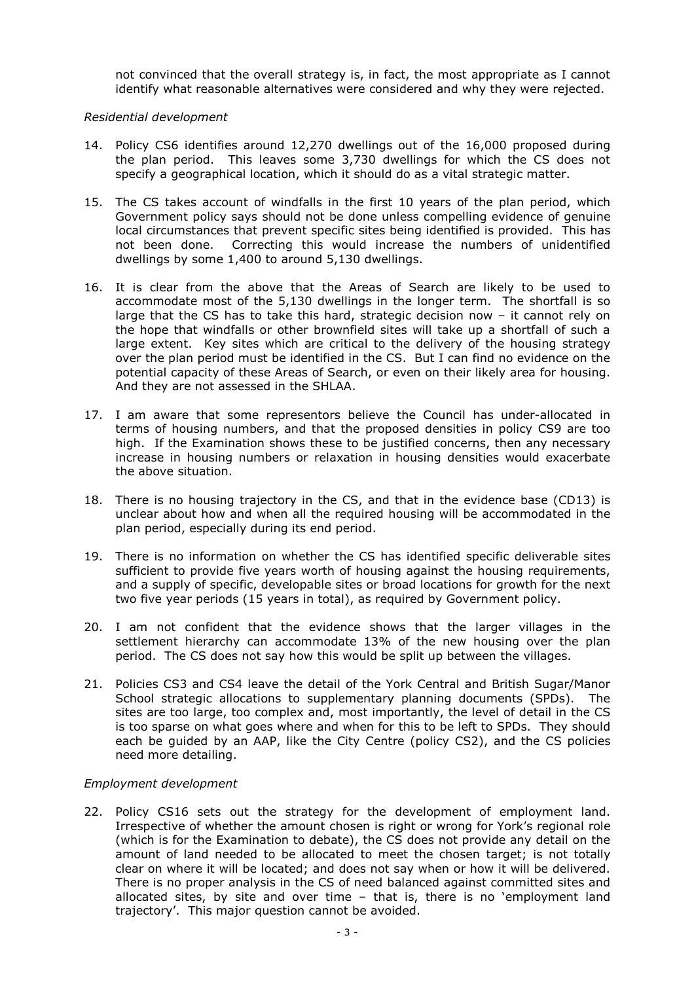not convinced that the overall strategy is, in fact, the most appropriate as I cannot identify what reasonable alternatives were considered and why they were rejected.

#### Residential development

- 14. Policy CS6 identifies around 12,270 dwellings out of the 16,000 proposed during the plan period. This leaves some 3,730 dwellings for which the CS does not specify a geographical location, which it should do as a vital strategic matter.
- 15. The CS takes account of windfalls in the first 10 years of the plan period, which Government policy says should not be done unless compelling evidence of genuine local circumstances that prevent specific sites being identified is provided. This has not been done. Correcting this would increase the numbers of unidentified dwellings by some 1,400 to around 5,130 dwellings.
- 16. It is clear from the above that the Areas of Search are likely to be used to accommodate most of the 5,130 dwellings in the longer term. The shortfall is so large that the CS has to take this hard, strategic decision now – it cannot rely on the hope that windfalls or other brownfield sites will take up a shortfall of such a large extent. Key sites which are critical to the delivery of the housing strategy over the plan period must be identified in the CS. But I can find no evidence on the potential capacity of these Areas of Search, or even on their likely area for housing. And they are not assessed in the SHLAA.
- 17. I am aware that some representors believe the Council has under-allocated in terms of housing numbers, and that the proposed densities in policy CS9 are too high. If the Examination shows these to be justified concerns, then any necessary increase in housing numbers or relaxation in housing densities would exacerbate the above situation.
- 18. There is no housing trajectory in the CS, and that in the evidence base (CD13) is unclear about how and when all the required housing will be accommodated in the plan period, especially during its end period.
- 19. There is no information on whether the CS has identified specific deliverable sites sufficient to provide five years worth of housing against the housing requirements, and a supply of specific, developable sites or broad locations for growth for the next two five year periods (15 years in total), as required by Government policy.
- 20. I am not confident that the evidence shows that the larger villages in the settlement hierarchy can accommodate 13% of the new housing over the plan period. The CS does not say how this would be split up between the villages.
- 21. Policies CS3 and CS4 leave the detail of the York Central and British Sugar/Manor School strategic allocations to supplementary planning documents (SPDs). The sites are too large, too complex and, most importantly, the level of detail in the CS is too sparse on what goes where and when for this to be left to SPDs. They should each be guided by an AAP, like the City Centre (policy CS2), and the CS policies need more detailing.

#### Employment development

22. Policy CS16 sets out the strategy for the development of employment land. Irrespective of whether the amount chosen is right or wrong for York's regional role (which is for the Examination to debate), the CS does not provide any detail on the amount of land needed to be allocated to meet the chosen target; is not totally clear on where it will be located; and does not say when or how it will be delivered. There is no proper analysis in the CS of need balanced against committed sites and allocated sites, by site and over time – that is, there is no 'employment land trajectory'. This major question cannot be avoided.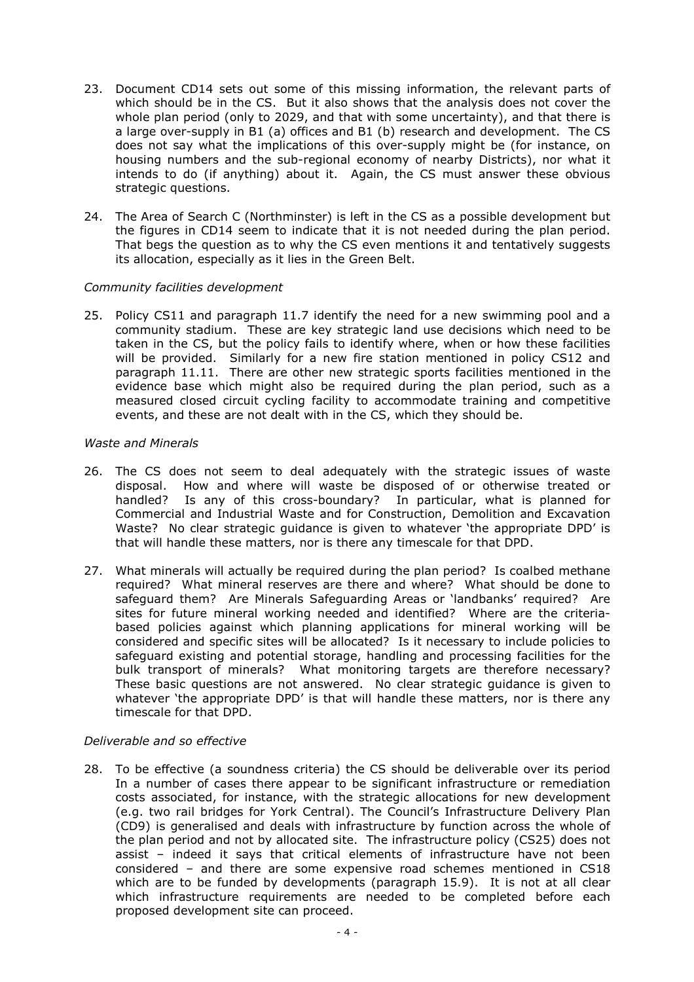- 23. Document CD14 sets out some of this missing information, the relevant parts of which should be in the CS. But it also shows that the analysis does not cover the whole plan period (only to 2029, and that with some uncertainty), and that there is a large over-supply in B1 (a) offices and B1 (b) research and development. The CS does not say what the implications of this over-supply might be (for instance, on housing numbers and the sub-regional economy of nearby Districts), nor what it intends to do (if anything) about it. Again, the CS must answer these obvious strategic questions.
- 24. The Area of Search C (Northminster) is left in the CS as a possible development but the figures in CD14 seem to indicate that it is not needed during the plan period. That begs the question as to why the CS even mentions it and tentatively suggests its allocation, especially as it lies in the Green Belt.

#### Community facilities development

25. Policy CS11 and paragraph 11.7 identify the need for a new swimming pool and a community stadium. These are key strategic land use decisions which need to be taken in the CS, but the policy fails to identify where, when or how these facilities will be provided. Similarly for a new fire station mentioned in policy CS12 and paragraph 11.11. There are other new strategic sports facilities mentioned in the evidence base which might also be required during the plan period, such as a measured closed circuit cycling facility to accommodate training and competitive events, and these are not dealt with in the CS, which they should be.

#### Waste and Minerals

- 26. The CS does not seem to deal adequately with the strategic issues of waste disposal. How and where will waste be disposed of or otherwise treated or handled? Is any of this cross-boundary? In particular, what is planned for Commercial and Industrial Waste and for Construction, Demolition and Excavation Waste? No clear strategic guidance is given to whatever 'the appropriate DPD' is that will handle these matters, nor is there any timescale for that DPD.
- 27. What minerals will actually be required during the plan period? Is coalbed methane required? What mineral reserves are there and where? What should be done to safeguard them? Are Minerals Safeguarding Areas or 'landbanks' required? Are sites for future mineral working needed and identified? Where are the criteriabased policies against which planning applications for mineral working will be considered and specific sites will be allocated? Is it necessary to include policies to safeguard existing and potential storage, handling and processing facilities for the bulk transport of minerals? What monitoring targets are therefore necessary? These basic questions are not answered. No clear strategic guidance is given to whatever 'the appropriate DPD' is that will handle these matters, nor is there any timescale for that DPD.

#### Deliverable and so effective

28. To be effective (a soundness criteria) the CS should be deliverable over its period In a number of cases there appear to be significant infrastructure or remediation costs associated, for instance, with the strategic allocations for new development (e.g. two rail bridges for York Central). The Council's Infrastructure Delivery Plan (CD9) is generalised and deals with infrastructure by function across the whole of the plan period and not by allocated site. The infrastructure policy (CS25) does not assist – indeed it says that critical elements of infrastructure have not been considered – and there are some expensive road schemes mentioned in CS18 which are to be funded by developments (paragraph 15.9). It is not at all clear which infrastructure requirements are needed to be completed before each proposed development site can proceed.